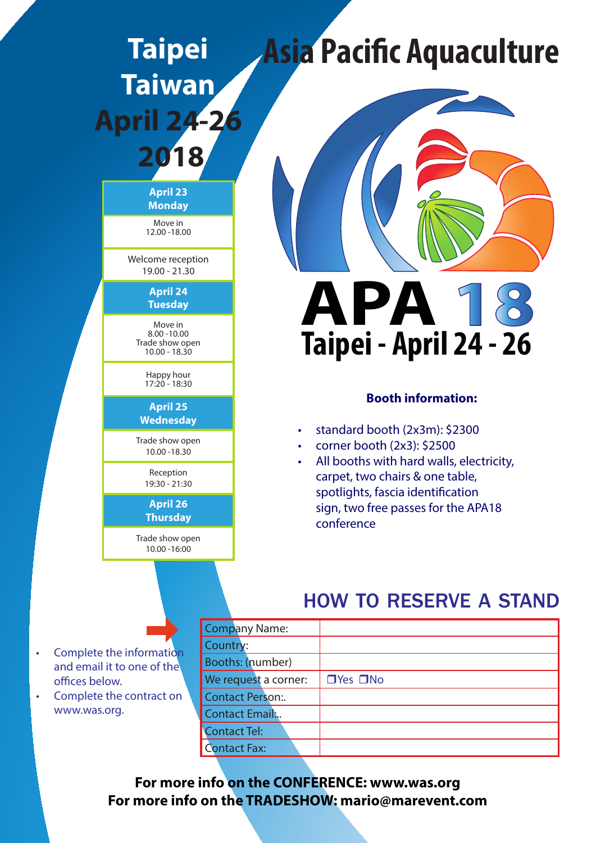# **Taipei Taiwan April 24-26**

# **2018**

**April 23 Monday**

Move in 12.00 -18.00

Welcome reception 19.00 - 21.30

> **April 24 Tuesday**

Move in 8.00 -10.00 Trade show open 10.00 - 18.30

> Happy hour  $17.20 - 18.30$

**April 25 Wednesday**

Trade show open 10.00 -18.30

> Reception 19:30 - 21:30

#### **April 26 Thursday**

Trade show open 10.00 -16:00

# **Asia Pacific Aquaculture**



### **Booth information:**

- • standard booth (2x3m): \$2300
- • corner booth (2x3): \$2500
- All booths with hard walls, electricity, carpet, two chairs & one table, spotlights, fascia identification sign, two free passes for the APA18 conference

### how to reserve a stand

|                                                                            |  | <b>Company Name:</b>                     |  |                      |
|----------------------------------------------------------------------------|--|------------------------------------------|--|----------------------|
| • Complete the information<br>and email it to one of the<br>offices below. |  | Country:                                 |  |                      |
|                                                                            |  | Booths: (number)<br>We request a corner: |  |                      |
|                                                                            |  |                                          |  | $\Box$ Yes $\Box$ No |
| • Complete the contract on<br>www.was.org.                                 |  | <b>Contact Person:</b>                   |  |                      |
|                                                                            |  | <b>Contact Email:</b>                    |  |                      |
|                                                                            |  | <b>Contact Tel:</b>                      |  |                      |
|                                                                            |  | Contact Fax:                             |  |                      |

**For more info on the CONFERENCE: www.was.org For more info on the TRADESHOW: mario@marevent.com**